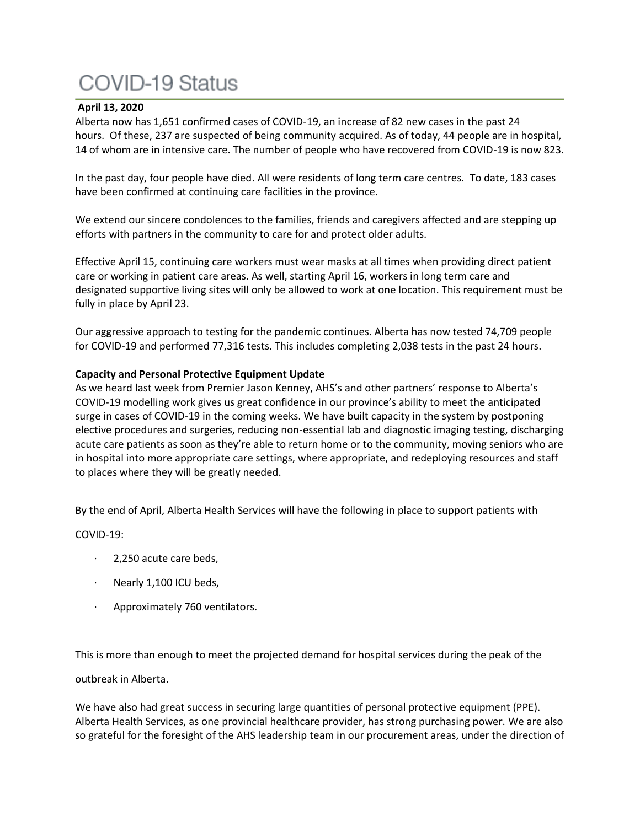# **COVID-19 Status**

### **April 13, 2020**

Alberta now has 1,651 confirmed cases of COVID-19, an increase of 82 new cases in the past 24 hours. Of these, 237 are suspected of being community acquired. As of today, 44 people are in hospital, 14 of whom are in intensive care. The number of people who have recovered from COVID-19 is now 823.

In the past day, four people have died. All were residents of long term care centres. To date, 183 cases have been confirmed at continuing care facilities in the province.

We extend our sincere condolences to the families, friends and caregivers affected and are stepping up efforts with partners in the community to care for and protect older adults.

Effective April 15, continuing care workers must wear masks at all times when providing direct patient care or working in patient care areas. As well, starting April 16, workers in long term care and designated supportive living sites will only be allowed to work at one location. This requirement must be fully in place by April 23.

Our aggressive approach to testing for the pandemic continues. Alberta has now tested 74,709 people for COVID-19 and performed 77,316 tests. This includes completing 2,038 tests in the past 24 hours.

### **Capacity and Personal Protective Equipment Update**

As we heard last week from Premier Jason Kenney, AHS's and other partners' response to Alberta's COVID-19 modelling work gives us great confidence in our province's ability to meet the anticipated surge in cases of COVID-19 in the coming weeks. We have built capacity in the system by postponing elective procedures and surgeries, reducing non-essential lab and diagnostic imaging testing, discharging acute care patients as soon as they're able to return home or to the community, moving seniors who are in hospital into more appropriate care settings, where appropriate, and redeploying resources and staff to places where they will be greatly needed.

By the end of April, Alberta Health Services will have the following in place to support patients with

COVID-19:

- · 2,250 acute care beds,
- · Nearly 1,100 ICU beds,
- Approximately 760 ventilators.

This is more than enough to meet the projected demand for hospital services during the peak of the

### outbreak in Alberta.

We have also had great success in securing large quantities of personal protective equipment (PPE). Alberta Health Services, as one provincial healthcare provider, has strong purchasing power. We are also so grateful for the foresight of the AHS leadership team in our procurement areas, under the direction of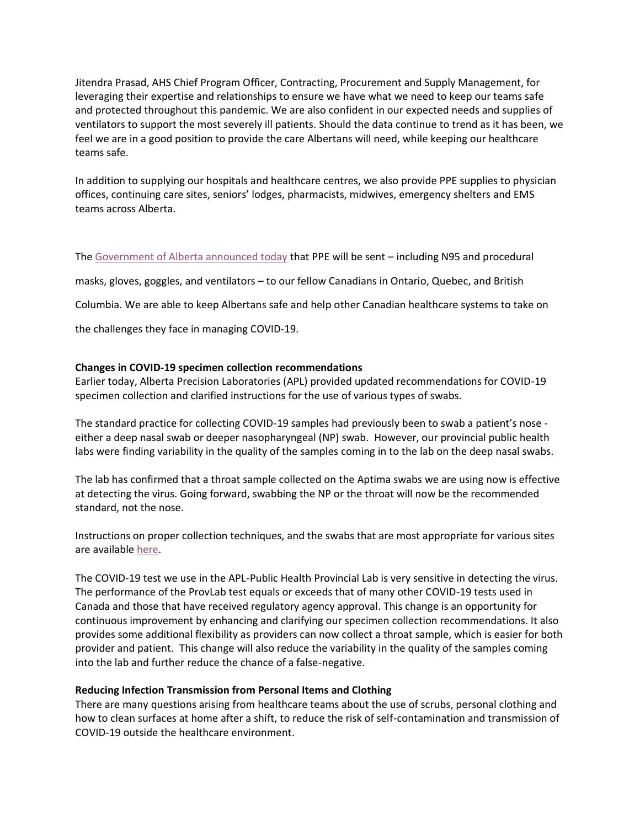Jitendra Prasad, AHS Chief Program Officer, Contracting, Procurement and Supply Management, for leveraging their expertise and relationships to ensure we have what we need to keep our teams safe and protected throughout this pandemic. We are also confident in our expected needs and supplies of ventilators to support the most severely ill patients. Should the data continue to trend as it has been, we feel we are in a good position to provide the care Albertans will need, while keeping our healthcare teams safe.

In addition to supplying our hospitals and healthcare centres, we also provide PPE supplies to physician offices, continuing care sites, seniors' lodges, pharmacists, midwives, emergency shelters and EMS teams across Alberta.

The [Government of Alberta announced today](https://www.alberta.ca/release.cfm?xID=700712B3EF0B4-BD47-9A6A-2D89FB5277F1E7CA) that PPE will be sent – including N95 and procedural

masks, gloves, goggles, and ventilators – to our fellow Canadians in Ontario, Quebec, and British

Columbia. We are able to keep Albertans safe and help other Canadian healthcare systems to take on

the challenges they face in managing COVID-19.

### **Changes in COVID-19 specimen collection recommendations**

Earlier today, Alberta Precision Laboratories (APL) provided updated recommendations for COVID-19 specimen collection and clarified instructions for the use of various types of swabs.

The standard practice for collecting COVID-19 samples had previously been to swab a patient's nose either a deep nasal swab or deeper nasopharyngeal (NP) swab. However, our provincial public health labs were finding variability in the quality of the samples coming in to the lab on the deep nasal swabs.

The lab has confirmed that a throat sample collected on the Aptima swabs we are using now is effective at detecting the virus. Going forward, swabbing the NP or the throat will now be the recommended standard, not the nose.

Instructions on proper collection techniques, and the swabs that are most appropriate for various sites are available [here.](https://www.albertahealthservices.ca/assets/wf/lab/wf-lab-bulletin-major-changes-in-covid-19-specimen-collection-recommendations.pdf)

The COVID-19 test we use in the APL-Public Health Provincial Lab is very sensitive in detecting the virus. The performance of the ProvLab test equals or exceeds that of many other COVID-19 tests used in Canada and those that have received regulatory agency approval. This change is an opportunity for continuous improvement by enhancing and clarifying our specimen collection recommendations. It also provides some additional flexibility as providers can now collect a throat sample, which is easier for both provider and patient. This change will also reduce the variability in the quality of the samples coming into the lab and further reduce the chance of a false-negative.

#### **Reducing Infection Transmission from Personal Items and Clothing**

There are many questions arising from healthcare teams about the use of scrubs, personal clothing and how to clean surfaces at home after a shift, to reduce the risk of self-contamination and transmission of COVID-19 outside the healthcare environment.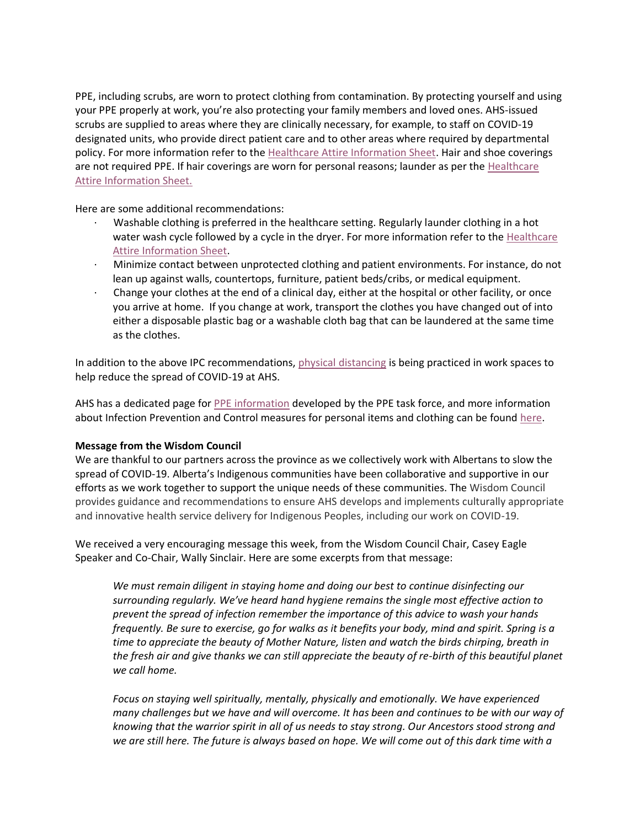PPE, including scrubs, are worn to protect clothing from contamination. By protecting yourself and using your PPE properly at work, you're also protecting your family members and loved ones. AHS-issued scrubs are supplied to areas where they are clinically necessary, for example, to staff on COVID-19 designated units, who provide direct patient care and to other areas where required by departmental policy. For more information refer to the [Healthcare Attire Information Sheet.](https://www.albertahealthservices.ca/assets/healthinfo/ipc/hi-ipc-hlthcare-attire-scrubs-uniforms-info-sht-z0-bpr-pt-care.pdf) Hair and shoe coverings are not required PPE. If hair coverings are worn for personal reasons; launder as per the [Healthcare](https://www.albertahealthservices.ca/assets/healthinfo/ipc/hi-ipc-hlthcare-attire-scrubs-uniforms-info-sht-z0-bpr-pt-care.pdf)  [Attire Information Sheet.](https://www.albertahealthservices.ca/assets/healthinfo/ipc/hi-ipc-hlthcare-attire-scrubs-uniforms-info-sht-z0-bpr-pt-care.pdf)

Here are some additional recommendations:

- · Washable clothing is preferred in the healthcare setting. Regularly launder clothing in a hot water wash cycle followed by a cycle in the dryer. For more information refer to the [Healthcare](https://www.albertahealthservices.ca/assets/healthinfo/ipc/hi-ipc-hlthcare-attire-scrubs-uniforms-info-sht-z0-bpr-pt-care.pdf)  [Attire Information Sheet.](https://www.albertahealthservices.ca/assets/healthinfo/ipc/hi-ipc-hlthcare-attire-scrubs-uniforms-info-sht-z0-bpr-pt-care.pdf)
- · Minimize contact between unprotected clothing and patient environments. For instance, do not lean up against walls, countertops, furniture, patient beds/cribs, or medical equipment.
- · Change your clothes at the end of a clinical day, either at the hospital or other facility, or once you arrive at home. If you change at work, transport the clothes you have changed out of into either a disposable plastic bag or a washable cloth bag that can be laundered at the same time as the clothes.

In addition to the above IPC recommendations, [physical distancing](https://insite.albertahealthservices.ca/main/assets/tls/ep/tls-ep-covid-19-social-distancing-at-work.pdf) is being practiced in work spaces to help reduce the spread of COVID-19 at AHS.

AHS has a dedicated page for [PPE information](https://www.albertahealthservices.ca/topics/Page17048.aspx) developed by the PPE task force, and more information about Infection Prevention and Control measures for personal items and clothing can be found [here.](https://www.albertahealthservices.ca/assets/info/ppih/if-ppih-covid-19-staff-tips-cloth-clean-z0-info-sht.pdf)

### **Message from the Wisdom Council**

We are thankful to our partners across the province as we collectively work with Albertans to slow the spread of COVID-19. Alberta's Indigenous communities have been collaborative and supportive in our efforts as we work together to support the unique needs of these communities. The Wisdom Council provides guidance and recommendations to ensure AHS develops and implements culturally appropriate and innovative health service delivery for Indigenous Peoples, including our work on COVID-19.

We received a very encouraging message this week, from the Wisdom Council Chair, Casey Eagle Speaker and Co-Chair, Wally Sinclair. Here are some excerpts from that message:

*We must remain diligent in staying home and doing our best to continue disinfecting our surrounding regularly. We've heard hand hygiene remains the single most effective action to prevent the spread of infection remember the importance of this advice to wash your hands frequently. Be sure to exercise, go for walks as it benefits your body, mind and spirit. Spring is a time to appreciate the beauty of Mother Nature, listen and watch the birds chirping, breath in the fresh air and give thanks we can still appreciate the beauty of re-birth of this beautiful planet we call home.*

*Focus on staying well spiritually, mentally, physically and emotionally. We have experienced many challenges but we have and will overcome. It has been and continues to be with our way of knowing that the warrior spirit in all of us needs to stay strong. Our Ancestors stood strong and*  we are still here. The future is always based on hope. We will come out of this dark time with a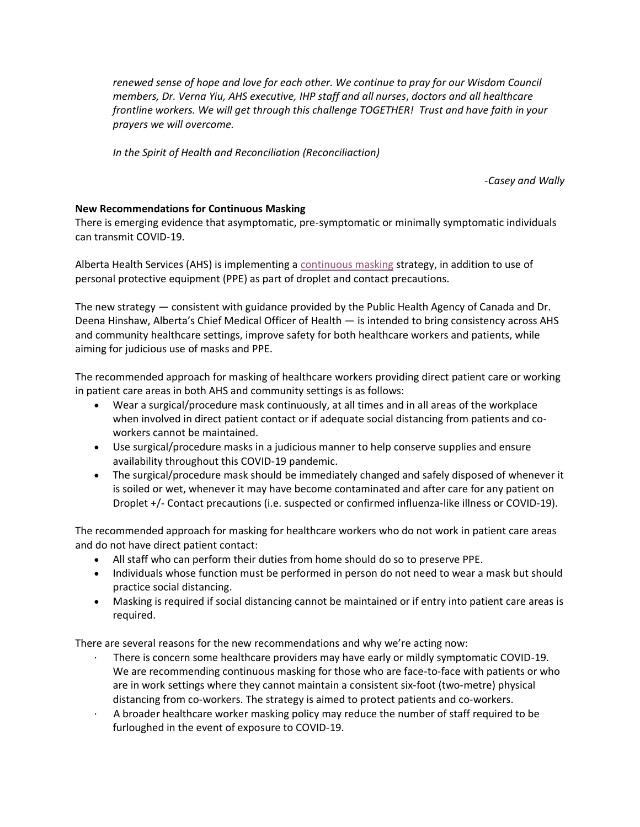*renewed sense of hope and love for each other. We continue to pray for our Wisdom Council members, Dr. Verna Yiu, AHS executive, IHP staff and all nurses*, *doctors and all healthcare frontline workers. We will get through this challenge TOGETHER! Trust and have faith in your prayers we will overcome.*

*In the Spirit of Health and Reconciliation (Reconciliaction)*

*-Casey and Wally*

### **New Recommendations for Continuous Masking**

There is emerging evidence that asymptomatic, pre-symptomatic or minimally symptomatic individuals can transmit COVID-19.

Alberta Health Services (AHS) is implementing a [continuous masking](https://www.albertahealthservices.ca/assets/info/ppih/if-ppih-covid-19-ppe-continuous-use-guidance-masking.pdf) strategy, in addition to use of personal protective equipment (PPE) as part of droplet and contact precautions.

The new strategy — consistent with guidance provided by the Public Health Agency of Canada and Dr. Deena Hinshaw, Alberta's Chief Medical Officer of Health — is intended to bring consistency across AHS and community healthcare settings, improve safety for both healthcare workers and patients, while aiming for judicious use of masks and PPE.

The recommended approach for masking of healthcare workers providing direct patient care or working in patient care areas in both AHS and community settings is as follows:

- Wear a surgical/procedure mask continuously, at all times and in all areas of the workplace when involved in direct patient contact or if adequate social distancing from patients and coworkers cannot be maintained.
- Use surgical/procedure masks in a judicious manner to help conserve supplies and ensure availability throughout this COVID-19 pandemic.
- The surgical/procedure mask should be immediately changed and safely disposed of whenever it is soiled or wet, whenever it may have become contaminated and after care for any patient on Droplet +/- Contact precautions (i.e. suspected or confirmed influenza-like illness or COVID-19).

The recommended approach for masking for healthcare workers who do not work in patient care areas and do not have direct patient contact:

- All staff who can perform their duties from home should do so to preserve PPE.
- Individuals whose function must be performed in person do not need to wear a mask but should practice social distancing.
- Masking is required if social distancing cannot be maintained or if entry into patient care areas is required.

There are several reasons for the new recommendations and why we're acting now:

- · There is concern some healthcare providers may have early or mildly symptomatic COVID-19. We are recommending continuous masking for those who are face-to-face with patients or who are in work settings where they cannot maintain a consistent six-foot (two-metre) physical distancing from co-workers. The strategy is aimed to protect patients and co-workers.
- · A broader healthcare worker masking policy may reduce the number of staff required to be furloughed in the event of exposure to COVID-19.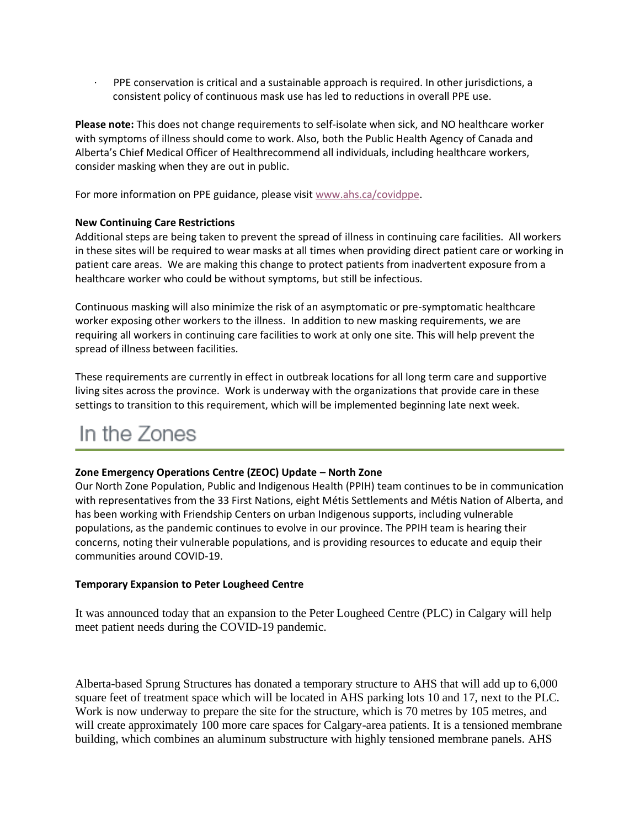· PPE conservation is critical and a sustainable approach is required. In other jurisdictions, a consistent policy of continuous mask use has led to reductions in overall PPE use.

**Please note:** This does not change requirements to self-isolate when sick, and NO healthcare worker with symptoms of illness should come to work. Also, both the Public Health Agency of Canada and Alberta's Chief Medical Officer of Healthrecommend all individuals, including healthcare workers, consider masking when they are out in public.

For more information on PPE guidance, please visit [www.ahs.ca/covidppe.](http://www.ahs.ca/covidppe)

### **New Continuing Care Restrictions**

Additional steps are being taken to prevent the spread of illness in continuing care facilities. All workers in these sites will be required to wear masks at all times when providing direct patient care or working in patient care areas. We are making this change to protect patients from inadvertent exposure from a healthcare worker who could be without symptoms, but still be infectious.

Continuous masking will also minimize the risk of an asymptomatic or pre-symptomatic healthcare worker exposing other workers to the illness. In addition to new masking requirements, we are requiring all workers in continuing care facilities to work at only one site. This will help prevent the spread of illness between facilities.

These requirements are currently in effect in outbreak locations for all long term care and supportive living sites across the province. Work is underway with the organizations that provide care in these settings to transition to this requirement, which will be implemented beginning late next week.

## In the Zones

#### **Zone Emergency Operations Centre (ZEOC) Update – North Zone**

Our North Zone Population, Public and Indigenous Health (PPIH) team continues to be in communication with representatives from the 33 First Nations, eight Métis Settlements and Métis Nation of Alberta, and has been working with Friendship Centers on urban Indigenous supports, including vulnerable populations, as the pandemic continues to evolve in our province. The PPIH team is hearing their concerns, noting their vulnerable populations, and is providing resources to educate and equip their communities around COVID-19.

#### **Temporary Expansion to Peter Lougheed Centre**

It was announced today that an expansion to the Peter Lougheed Centre (PLC) in Calgary will help meet patient needs during the COVID-19 pandemic.

Alberta-based Sprung Structures has donated a temporary structure to AHS that will add up to 6,000 square feet of treatment space which will be located in AHS parking lots 10 and 17, next to the PLC. Work is now underway to prepare the site for the structure, which is 70 metres by 105 metres, and will create approximately 100 more care spaces for Calgary-area patients. It is a tensioned membrane building, which combines an aluminum substructure with highly tensioned membrane panels. AHS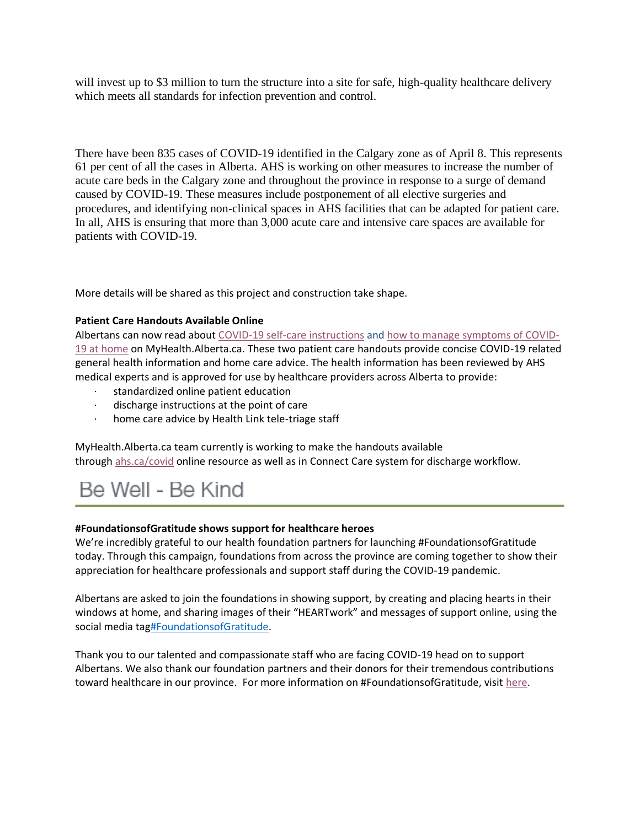will invest up to \$3 million to turn the structure into a site for safe, high-quality healthcare delivery which meets all standards for infection prevention and control.

There have been 835 cases of COVID-19 identified in the Calgary zone as of April 8. This represents 61 per cent of all the cases in Alberta. AHS is working on other measures to increase the number of acute care beds in the Calgary zone and throughout the province in response to a surge of demand caused by COVID-19. These measures include postponement of all elective surgeries and procedures, and identifying non-clinical spaces in AHS facilities that can be adapted for patient care. In all, AHS is ensuring that more than 3,000 acute care and intensive care spaces are available for patients with COVID-19.

More details will be shared as this project and construction take shape.

### **Patient Care Handouts Available Online**

Albertans can now read about [COVID-19 self-care instructions](https://myhealth.alberta.ca/Alberta/Pages/Coronavirus-Disease-(COVID-19)-Care-Instructions.aspx) and [how to manage symptoms of COVID-](https://myhealth.alberta.ca/Alberta/Pages/How-to-manage-symptoms.aspx)[19 at home](https://myhealth.alberta.ca/Alberta/Pages/How-to-manage-symptoms.aspx) on MyHealth.Alberta.ca. These two patient care handouts provide concise COVID-19 related general health information and home care advice. The health information has been reviewed by AHS medical experts and is approved for use by healthcare providers across Alberta to provide:

- standardized online patient education
- · discharge instructions at the point of care
- home care advice by Health Link tele-triage staff

MyHealth.Alberta.ca team currently is working to make the handouts available through [ahs.ca/covid](https://www.albertahealthservices.ca/topics/Page16944.aspx) online resource as well as in Connect Care system for discharge workflow.

# Be Well - Be Kind

### **#FoundationsofGratitude shows support for healthcare heroes**

We're incredibly grateful to our health foundation partners for launching #FoundationsofGratitude today. Through this campaign, foundations from across the province are coming together to show their appreciation for healthcare professionals and support staff during the COVID-19 pandemic.

Albertans are asked to join the foundations in showing support, by creating and placing hearts in their windows at home, and sharing images of their "HEARTwork" and messages of support online, using the social media tag#FoundationsofGratitude.

Thank you to our talented and compassionate staff who are facing COVID-19 head on to support Albertans. We also thank our foundation partners and their donors for their tremendous contributions toward healthcare in our province. For more information on #FoundationsofGratitude, visit [here.](https://www.albertahealthservices.ca/topics/Page17071.aspx)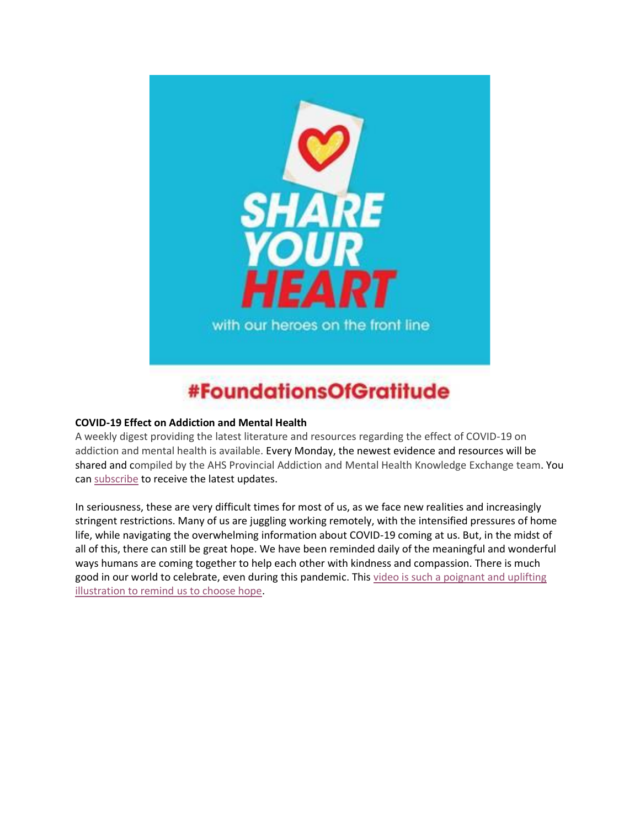

# #FoundationsOfGratitude

### **COVID-19 Effect on Addiction and Mental Health**

A weekly digest providing the latest literature and resources regarding the effect of COVID-19 on addiction and mental health is available. Every Monday, the newest evidence and resources will be shared and compiled by the AHS Provincial Addiction and Mental Health Knowledge Exchange team. You can [subscribe](https://secure.campaigner.com/CSB/Public/Form.aspx?fid=1809774) to receive the latest updates.

In seriousness, these are very difficult times for most of us, as we face new realities and increasingly stringent restrictions. Many of us are juggling working remotely, with the intensified pressures of home life, while navigating the overwhelming information about COVID-19 coming at us. But, in the midst of all of this, there can still be great hope. We have been reminded daily of the meaningful and wonderful ways humans are coming together to help each other with kindness and compassion. There is much good in our world to celebrate, even during this pandemic. This video is such a poignant and uplifting [illustration to remind us to choose hope.](https://www.youtube.com/watch?v=q-Ik_YdsI9o&feature=youtu.be)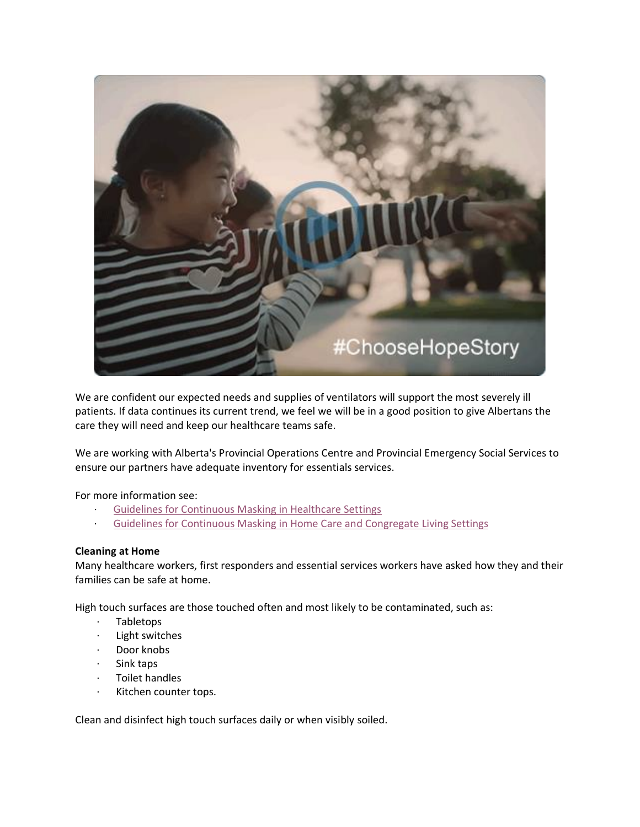

We are confident our expected needs and supplies of ventilators will support the most severely ill patients. If data continues its current trend, we feel we will be in a good position to give Albertans the care they will need and keep our healthcare teams safe.

We are working with Alberta's Provincial Operations Centre and Provincial Emergency Social Services to ensure our partners have adequate inventory for essentials services.

### For more information see:

- [Guidelines for Continuous Masking in Healthcare Settings](https://www.albertahealthservices.ca/assets/info/ppih/if-ppih-covid-19-ppe-continuous-use-guidance-masking.pdf)
- · [Guidelines for Continuous Masking in Home Care and Congregate Living Settings](https://www.albertahealthservices.ca/assets/info/ppih/if-ppih-covid-19-ppe-continuous-masking-home-care-congregate.pdf)

### **Cleaning at Home**

Many healthcare workers, first responders and essential services workers have asked how they and their families can be safe at home.

High touch surfaces are those touched often and most likely to be contaminated, such as:

- · Tabletops
- · Light switches
- Door knobs
- · Sink taps
- · Toilet handles
- · Kitchen counter tops.

Clean and disinfect high touch surfaces daily or when visibly soiled.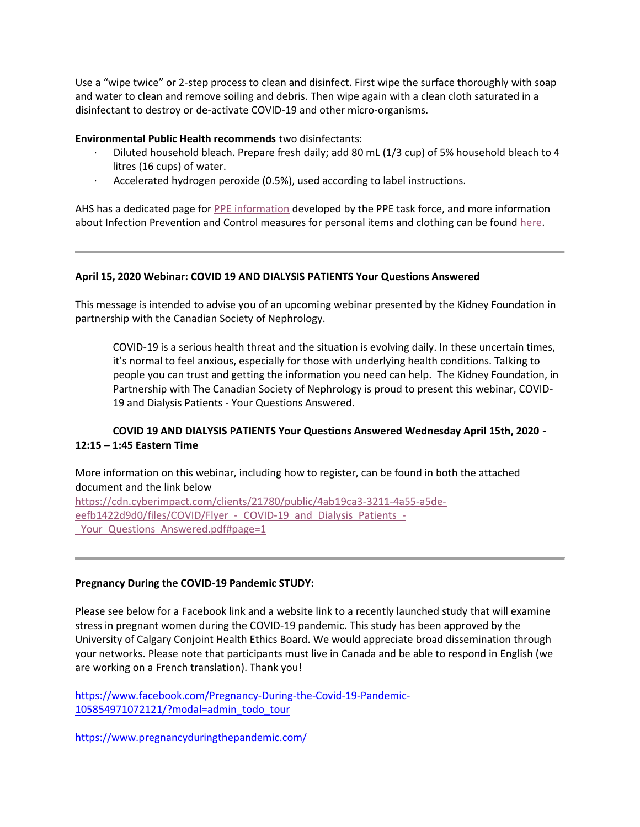Use a "wipe twice" or 2-step process to clean and disinfect. First wipe the surface thoroughly with soap and water to clean and remove soiling and debris. Then wipe again with a clean cloth saturated in a disinfectant to destroy or de-activate COVID-19 and other micro-organisms.

### **[Environmental Public Health recommends](https://www.albertahealthservices.ca/assets/wf/eph/wf-eh-surface-cleaning-disinfection-gi-outbreaks-child-care.pdf)** two disinfectants:

- · Diluted household bleach. Prepare fresh daily; add 80 mL (1/3 cup) of 5% household bleach to 4 litres (16 cups) of water.
- Accelerated hydrogen peroxide (0.5%), used according to label instructions.

AHS has a dedicated page for [PPE information](https://www.albertahealthservices.ca/topics/Page17048.aspx) developed by the PPE task force, and more information about Infection Prevention and Control measures for personal items and clothing can be found [here.](https://www.albertahealthservices.ca/assets/info/ppih/if-ppih-covid-19-staff-tips-cloth-clean-z0-info-sht.pdf)

### **April 15, 2020 Webinar: COVID 19 AND DIALYSIS PATIENTS Your Questions Answered**

This message is intended to advise you of an upcoming webinar presented by the Kidney Foundation in partnership with the Canadian Society of Nephrology.

COVID-19 is a serious health threat and the situation is evolving daily. In these uncertain times, it's normal to feel anxious, especially for those with underlying health conditions. Talking to people you can trust and getting the information you need can help. The Kidney Foundation, in Partnership with The Canadian Society of Nephrology is proud to present this webinar, COVID-19 and Dialysis Patients - Your Questions Answered.

### **COVID 19 AND DIALYSIS PATIENTS Your Questions Answered Wednesday April 15th, 2020 - 12:15 – 1:45 Eastern Time**

More information on this webinar, including how to register, can be found in both the attached document and the link below [https://cdn.cyberimpact.com/clients/21780/public/4ab19ca3-3211-4a55-a5de](https://cdn.cyberimpact.com/clients/21780/public/4ab19ca3-3211-4a55-a5de-eefb1422d9d0/files/COVID/Flyer_-_COVID-19_and_Dialysis_Patients_-_Your_Questions_Answered.pdf#page=1)eefb1422d9d0/files/COVID/Flyer - COVID-19 and Dialysis Patients -[\\_Your\\_Questions\\_Answered.pdf#page=1](https://cdn.cyberimpact.com/clients/21780/public/4ab19ca3-3211-4a55-a5de-eefb1422d9d0/files/COVID/Flyer_-_COVID-19_and_Dialysis_Patients_-_Your_Questions_Answered.pdf#page=1)

### **Pregnancy During the COVID-19 Pandemic STUDY:**

Please see below for a Facebook link and a website link to a recently launched study that will examine stress in pregnant women during the COVID-19 pandemic. This study has been approved by the University of Calgary Conjoint Health Ethics Board. We would appreciate broad dissemination through your networks. Please note that participants must live in Canada and be able to respond in English (we are working on a French translation). Thank you!

[https://www.facebook.com/Pregnancy-During-the-Covid-19-Pandemic-](https://www.facebook.com/Pregnancy-During-the-Covid-19-Pandemic-105854971072121/?modal=admin_todo_tour)[105854971072121/?modal=admin\\_todo\\_tour](https://www.facebook.com/Pregnancy-During-the-Covid-19-Pandemic-105854971072121/?modal=admin_todo_tour)

<https://www.pregnancyduringthepandemic.com/>